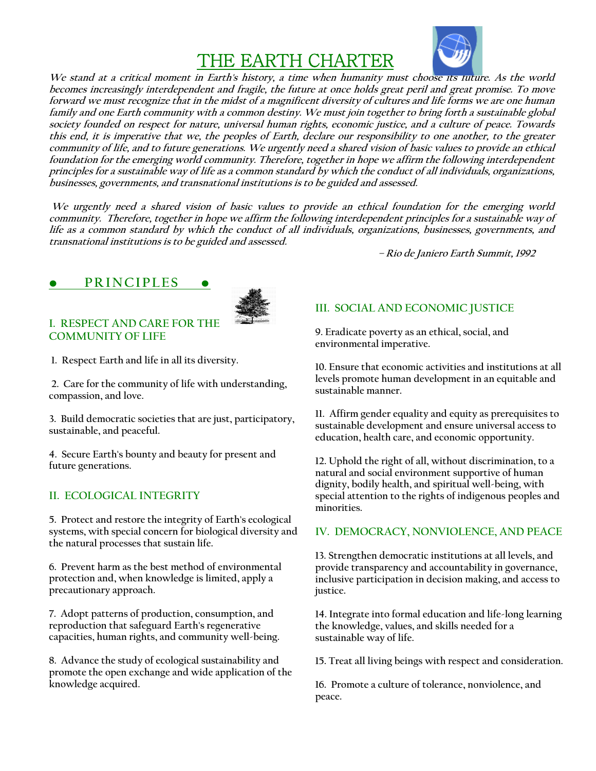# THE EARTH CHARTER



**We stand at a critical moment in Earth's history, a time when humanity must choose its future. As the world becomes increasingly interdependent and fragile, the future at once holds great peril and great promise. To move forward we must recognize that in the midst of a magnificent diversity of cultures and life forms we are one human family and one Earth community with a common destiny. We must join together to bring forth a sustainable global society founded on respect for nature, universal human rights, economic justice, and a culture of peace. Towards this end, it is imperative that we, the peoples of Earth, declare our responsibility to one another, to the greater community of life, and to future generations. We urgently need a shared vision of basic values to provide an ethical foundation for the emerging world community. Therefore, together in hope we affirm the following interdependent principles for a sustainable way of life as a common standard by which the conduct of all individuals, organizations, businesses, governments, and transnational institutions is to be guided and assessed.** 

 **We urgently need a shared vision of basic values to provide an ethical foundation for the emerging world community. Therefore, together in hope we affirm the following interdependent principles for a sustainable way of life as a common standard by which the conduct of all individuals, organizations, businesses, governments, and transnational institutions is to be guided and assessed.** 

 **– Rio de Janiero Earth Summit, 1992** 

## **• PRINCIPLES •**

#### **I. RESPECT AND CARE FOR THE COMMUNITY OF LIFE**

 **1. Respect Earth and life in all its diversity.** 

 **2. Care for the community of life with understanding, compassion, and love.** 

**3. Build democratic societies that are just, participatory, sustainable, and peaceful.** 

**4. Secure Earth's bounty and beauty for present and future generations.**

## **II. ECOLOGICAL INTEGRITY**

**5. Protect and restore the integrity of Earth's ecological systems, with special concern for biological diversity and the natural processes that sustain life.** 

**6. Prevent harm as the best method of environmental protection and, when knowledge is limited, apply a precautionary approach.** 

**7. Adopt patterns of production, consumption, and reproduction that safeguard Earth's regenerative capacities, human rights, and community well-being.** 

**8. Advance the study of ecological sustainability and promote the open exchange and wide application of the knowledge acquired.** 

## **III. SOCIAL AND ECONOMIC JUSTICE**

**9. Eradicate poverty as an ethical, social, and environmental imperative.** 

**10. Ensure that economic activities and institutions at all levels promote human development in an equitable and sustainable manner.** 

**11. Affirm gender equality and equity as prerequisites to sustainable development and ensure universal access to education, health care, and economic opportunity.** 

**12. Uphold the right of all, without discrimination, to a natural and social environment supportive of human dignity, bodily health, and spiritual well-being, with special attention to the rights of indigenous peoples and minorities.**

#### **IV. DEMOCRACY, NONVIOLENCE, AND PEACE**

**13. Strengthen democratic institutions at all levels, and provide transparency and accountability in governance, inclusive participation in decision making, and access to justice.** 

**14. Integrate into formal education and life-long learning the knowledge, values, and skills needed for a sustainable way of life.** 

**15. Treat all living beings with respect and consideration.** 

**16. Promote a culture of tolerance, nonviolence, and peace.**